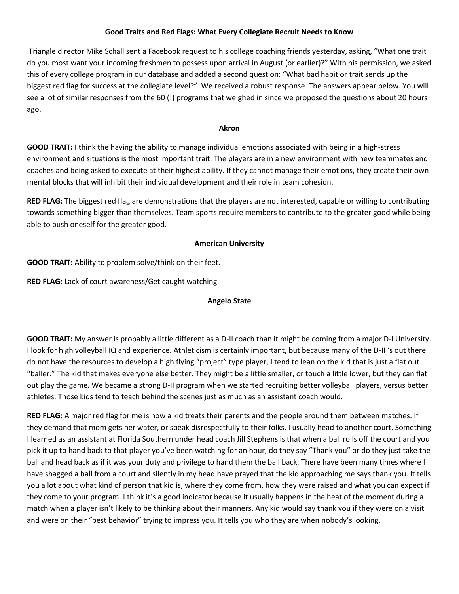## **Good Traits and Red Flags: What Every Collegiate Recruit Needs to Know**

Triangle director Mike Schall sent a Facebook request to his college coaching friends yesterday, asking, "What one trait do you most want your incoming freshmen to possess upon arrival in August (or earlier)?" With his permission, we asked this of every college program in our database and added a second question: "What bad habit or trait sends up the biggest red flag for success at the collegiate level?" We received a robust response. The answers appear below. You will see a lot of similar responses from the 60 (!) programs that weighed in since we proposed the questions about 20 hours ago.

#### **Akron**

**GOOD TRAIT:** I think the having the ability to manage individual emotions associated with being in a high-stress environment and situations is the most important trait. The players are in a new environment with new teammates and coaches and being asked to execute at their highest ability. If they cannot manage their emotions, they create their own mental blocks that will inhibit their individual development and their role in team cohesion.

**RED FLAG:** The biggest red flag are demonstrations that the players are not interested, capable or willing to contributing towards something bigger than themselves. Team sports require members to contribute to the greater good while being able to push oneself for the greater good.

### **American University**

**GOOD TRAIT:** Ability to problem solve/think on their feet.

**RED FLAG:** Lack of court awareness/Get caught watching.

## **Angelo State**

**GOOD TRAIT:** My answer is probably a little different as a D-II coach than it might be coming from a major D-I University. I look for high volleyball IQ and experience. Athleticism is certainly important, but because many of the D-II 's out there do not have the resources to develop a high flying "project" type player, I tend to lean on the kid that is just a flat out "baller." The kid that makes everyone else better. They might be a little smaller, or touch a little lower, but they can flat out play the game. We became a strong D-II program when we started recruiting better volleyball players, versus better athletes. Those kids tend to teach behind the scenes just as much as an assistant coach would.

**RED FLAG:** A major red flag for me is how a kid treats their parents and the people around them between matches. If they demand that mom gets her water, or speak disrespectfully to their folks, I usually head to another court. Something I learned as an assistant at Florida Southern under head coach Jill Stephens is that when a ball rolls off the court and you pick it up to hand back to that player you've been watching for an hour, do they say "Thank you" or do they just take the ball and head back as if it was your duty and privilege to hand them the ball back. There have been many times where I have shagged a ball from a court and silently in my head have prayed that the kid approaching me says thank you. It tells you a lot about what kind of person that kid is, where they come from, how they were raised and what you can expect if they come to your program. I think it's a good indicator because it usually happens in the heat of the moment during a match when a player isn't likely to be thinking about their manners. Any kid would say thank you if they were on a visit and were on their "best behavior" trying to impress you. It tells you who they are when nobody's looking.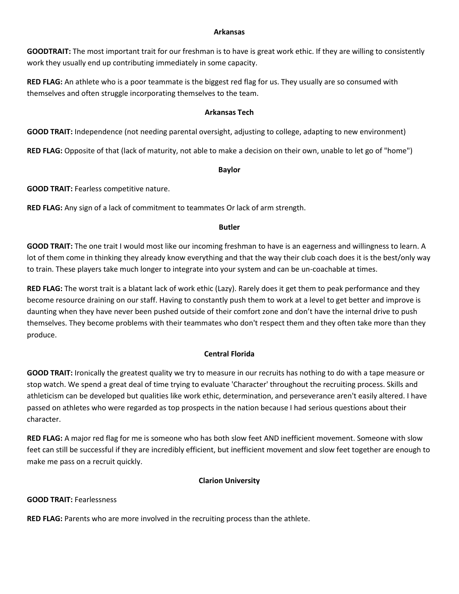#### **Arkansas**

**GOODTRAIT:** The most important trait for our freshman is to have is great work ethic. If they are willing to consistently work they usually end up contributing immediately in some capacity.

**RED FLAG:** An athlete who is a poor teammate is the biggest red flag for us. They usually are so consumed with themselves and often struggle incorporating themselves to the team.

#### **Arkansas Tech**

**GOOD TRAIT:** Independence (not needing parental oversight, adjusting to college, adapting to new environment)

**RED FLAG:** Opposite of that (lack of maturity, not able to make a decision on their own, unable to let go of "home")

#### **Baylor**

**GOOD TRAIT:** Fearless competitive nature.

**RED FLAG:** Any sign of a lack of commitment to teammates Or lack of arm strength.

#### **Butler**

**GOOD TRAIT:** The one trait I would most like our incoming freshman to have is an eagerness and willingness to learn. A lot of them come in thinking they already know everything and that the way their club coach does it is the best/only way to train. These players take much longer to integrate into your system and can be un-coachable at times.

**RED FLAG:** The worst trait is a blatant lack of work ethic (Lazy). Rarely does it get them to peak performance and they become resource draining on our staff. Having to constantly push them to work at a level to get better and improve is daunting when they have never been pushed outside of their comfort zone and don't have the internal drive to push themselves. They become problems with their teammates who don't respect them and they often take more than they produce.

# **Central Florida**

**GOOD TRAIT:** Ironically the greatest quality we try to measure in our recruits has nothing to do with a tape measure or stop watch. We spend a great deal of time trying to evaluate 'Character' throughout the recruiting process. Skills and athleticism can be developed but qualities like work ethic, determination, and perseverance aren't easily altered. I have passed on athletes who were regarded as top prospects in the nation because I had serious questions about their character.

**RED FLAG:** A major red flag for me is someone who has both slow feet AND inefficient movement. Someone with slow feet can still be successful if they are incredibly efficient, but inefficient movement and slow feet together are enough to make me pass on a recruit quickly.

### **Clarion University**

### **GOOD TRAIT:** Fearlessness

**RED FLAG:** Parents who are more involved in the recruiting process than the athlete.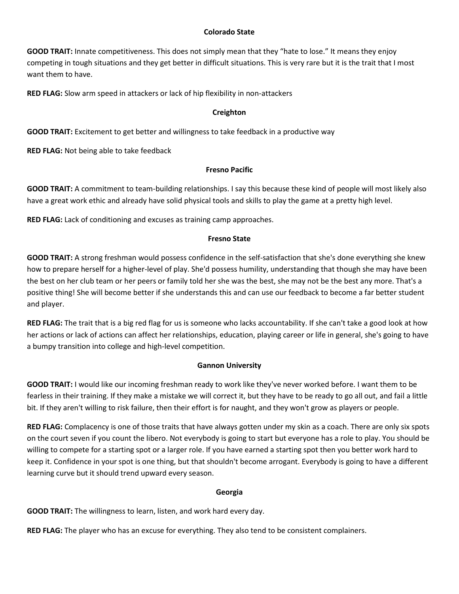## **Colorado State**

**GOOD TRAIT:** Innate competitiveness. This does not simply mean that they "hate to lose." It means they enjoy competing in tough situations and they get better in difficult situations. This is very rare but it is the trait that I most want them to have.

**RED FLAG:** Slow arm speed in attackers or lack of hip flexibility in non-attackers

## **Creighton**

**GOOD TRAIT:** Excitement to get better and willingness to take feedback in a productive way

**RED FLAG:** Not being able to take feedback

### **Fresno Pacific**

**GOOD TRAIT:** A commitment to team-building relationships. I say this because these kind of people will most likely also have a great work ethic and already have solid physical tools and skills to play the game at a pretty high level.

**RED FLAG:** Lack of conditioning and excuses as training camp approaches.

### **Fresno State**

**GOOD TRAIT:** A strong freshman would possess confidence in the self-satisfaction that she's done everything she knew how to prepare herself for a higher-level of play. She'd possess humility, understanding that though she may have been the best on her club team or her peers or family told her she was the best, she may not be the best any more. That's a positive thing! She will become better if she understands this and can use our feedback to become a far better student and player.

**RED FLAG:** The trait that is a big red flag for us is someone who lacks accountability. If she can't take a good look at how her actions or lack of actions can affect her relationships, education, playing career or life in general, she's going to have a bumpy transition into college and high-level competition.

### **Gannon University**

**GOOD TRAIT:** I would like our incoming freshman ready to work like they've never worked before. I want them to be fearless in their training. If they make a mistake we will correct it, but they have to be ready to go all out, and fail a little bit. If they aren't willing to risk failure, then their effort is for naught, and they won't grow as players or people.

**RED FLAG:** Complacency is one of those traits that have always gotten under my skin as a coach. There are only six spots on the court seven if you count the libero. Not everybody is going to start but everyone has a role to play. You should be willing to compete for a starting spot or a larger role. If you have earned a starting spot then you better work hard to keep it. Confidence in your spot is one thing, but that shouldn't become arrogant. Everybody is going to have a different learning curve but it should trend upward every season.

### **Georgia**

**GOOD TRAIT:** The willingness to learn, listen, and work hard every day.

**RED FLAG:** The player who has an excuse for everything. They also tend to be consistent complainers.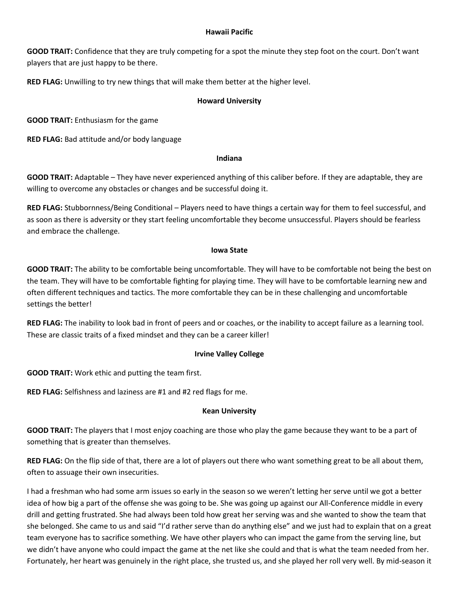#### **Hawaii Pacific**

**GOOD TRAIT:** Confidence that they are truly competing for a spot the minute they step foot on the court. Don't want players that are just happy to be there.

**RED FLAG:** Unwilling to try new things that will make them better at the higher level.

#### **Howard University**

**GOOD TRAIT:** Enthusiasm for the game

**RED FLAG:** Bad attitude and/or body language

#### **Indiana**

**GOOD TRAIT:** Adaptable – They have never experienced anything of this caliber before. If they are adaptable, they are willing to overcome any obstacles or changes and be successful doing it.

**RED FLAG:** Stubbornness/Being Conditional – Players need to have things a certain way for them to feel successful, and as soon as there is adversity or they start feeling uncomfortable they become unsuccessful. Players should be fearless and embrace the challenge.

#### **Iowa State**

**GOOD TRAIT:** The ability to be comfortable being uncomfortable. They will have to be comfortable not being the best on the team. They will have to be comfortable fighting for playing time. They will have to be comfortable learning new and often different techniques and tactics. The more comfortable they can be in these challenging and uncomfortable settings the better!

**RED FLAG:** The inability to look bad in front of peers and or coaches, or the inability to accept failure as a learning tool. These are classic traits of a fixed mindset and they can be a career killer!

### **Irvine Valley College**

**GOOD TRAIT:** Work ethic and putting the team first.

**RED FLAG:** Selfishness and laziness are #1 and #2 red flags for me.

### **Kean University**

**GOOD TRAIT:** The players that I most enjoy coaching are those who play the game because they want to be a part of something that is greater than themselves.

**RED FLAG:** On the flip side of that, there are a lot of players out there who want something great to be all about them, often to assuage their own insecurities.

I had a freshman who had some arm issues so early in the season so we weren't letting her serve until we got a better idea of how big a part of the offense she was going to be. She was going up against our All-Conference middle in every drill and getting frustrated. She had always been told how great her serving was and she wanted to show the team that she belonged. She came to us and said "I'd rather serve than do anything else" and we just had to explain that on a great team everyone has to sacrifice something. We have other players who can impact the game from the serving line, but we didn't have anyone who could impact the game at the net like she could and that is what the team needed from her. Fortunately, her heart was genuinely in the right place, she trusted us, and she played her roll very well. By mid-season it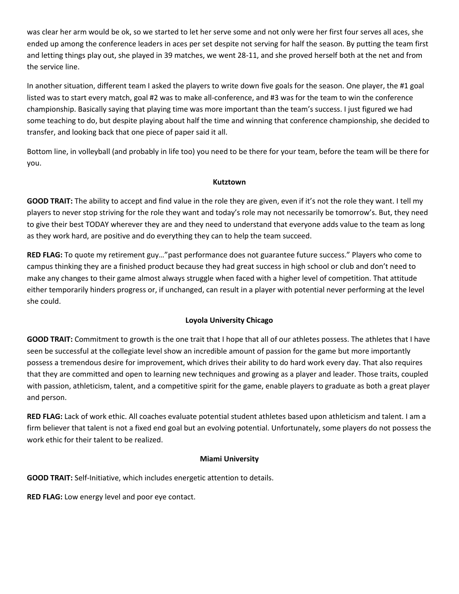was clear her arm would be ok, so we started to let her serve some and not only were her first four serves all aces, she ended up among the conference leaders in aces per set despite not serving for half the season. By putting the team first and letting things play out, she played in 39 matches, we went 28-11, and she proved herself both at the net and from the service line.

In another situation, different team I asked the players to write down five goals for the season. One player, the #1 goal listed was to start every match, goal #2 was to make all-conference, and #3 was for the team to win the conference championship. Basically saying that playing time was more important than the team's success. I just figured we had some teaching to do, but despite playing about half the time and winning that conference championship, she decided to transfer, and looking back that one piece of paper said it all.

Bottom line, in volleyball (and probably in life too) you need to be there for your team, before the team will be there for you.

#### **Kutztown**

**GOOD TRAIT:** The ability to accept and find value in the role they are given, even if it's not the role they want. I tell my players to never stop striving for the role they want and today's role may not necessarily be tomorrow's. But, they need to give their best TODAY wherever they are and they need to understand that everyone adds value to the team as long as they work hard, are positive and do everything they can to help the team succeed.

**RED FLAG:** To quote my retirement guy…"past performance does not guarantee future success." Players who come to campus thinking they are a finished product because they had great success in high school or club and don't need to make any changes to their game almost always struggle when faced with a higher level of competition. That attitude either temporarily hinders progress or, if unchanged, can result in a player with potential never performing at the level she could.

# **Loyola University Chicago**

**GOOD TRAIT:** Commitment to growth is the one trait that I hope that all of our athletes possess. The athletes that I have seen be successful at the collegiate level show an incredible amount of passion for the game but more importantly possess a tremendous desire for improvement, which drives their ability to do hard work every day. That also requires that they are committed and open to learning new techniques and growing as a player and leader. Those traits, coupled with passion, athleticism, talent, and a competitive spirit for the game, enable players to graduate as both a great player and person.

**RED FLAG:** Lack of work ethic. All coaches evaluate potential student athletes based upon athleticism and talent. I am a firm believer that talent is not a fixed end goal but an evolving potential. Unfortunately, some players do not possess the work ethic for their talent to be realized.

### **Miami University**

**GOOD TRAIT:** Self-Initiative, which includes energetic attention to details.

**RED FLAG:** Low energy level and poor eye contact.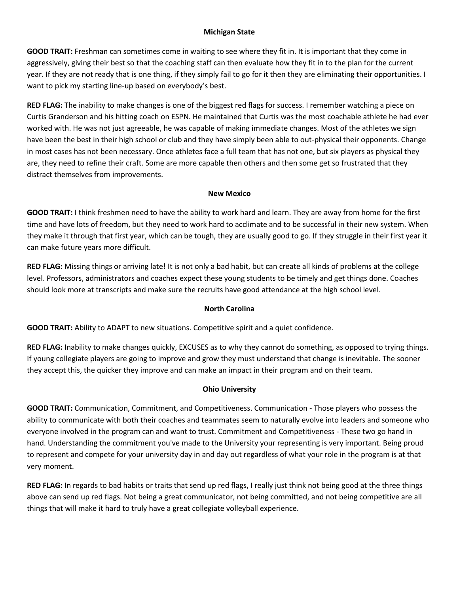## **Michigan State**

**GOOD TRAIT:** Freshman can sometimes come in waiting to see where they fit in. It is important that they come in aggressively, giving their best so that the coaching staff can then evaluate how they fit in to the plan for the current year. If they are not ready that is one thing, if they simply fail to go for it then they are eliminating their opportunities. I want to pick my starting line-up based on everybody's best.

**RED FLAG:** The inability to make changes is one of the biggest red flags for success. I remember watching a piece on Curtis Granderson and his hitting coach on ESPN. He maintained that Curtis was the most coachable athlete he had ever worked with. He was not just agreeable, he was capable of making immediate changes. Most of the athletes we sign have been the best in their high school or club and they have simply been able to out-physical their opponents. Change in most cases has not been necessary. Once athletes face a full team that has not one, but six players as physical they are, they need to refine their craft. Some are more capable then others and then some get so frustrated that they distract themselves from improvements.

### **New Mexico**

**GOOD TRAIT:** I think freshmen need to have the ability to work hard and learn. They are away from home for the first time and have lots of freedom, but they need to work hard to acclimate and to be successful in their new system. When they make it through that first year, which can be tough, they are usually good to go. If they struggle in their first year it can make future years more difficult.

**RED FLAG:** Missing things or arriving late! It is not only a bad habit, but can create all kinds of problems at the college level. Professors, administrators and coaches expect these young students to be timely and get things done. Coaches should look more at transcripts and make sure the recruits have good attendance at the high school level.

# **North Carolina**

**GOOD TRAIT:** Ability to ADAPT to new situations. Competitive spirit and a quiet confidence.

**RED FLAG:** Inability to make changes quickly, EXCUSES as to why they cannot do something, as opposed to trying things. If young collegiate players are going to improve and grow they must understand that change is inevitable. The sooner they accept this, the quicker they improve and can make an impact in their program and on their team.

# **Ohio University**

**GOOD TRAIT:** Communication, Commitment, and Competitiveness. Communication - Those players who possess the ability to communicate with both their coaches and teammates seem to naturally evolve into leaders and someone who everyone involved in the program can and want to trust. Commitment and Competitiveness - These two go hand in hand. Understanding the commitment you've made to the University your representing is very important. Being proud to represent and compete for your university day in and day out regardless of what your role in the program is at that very moment.

**RED FLAG:** In regards to bad habits or traits that send up red flags, I really just think not being good at the three things above can send up red flags. Not being a great communicator, not being committed, and not being competitive are all things that will make it hard to truly have a great collegiate volleyball experience.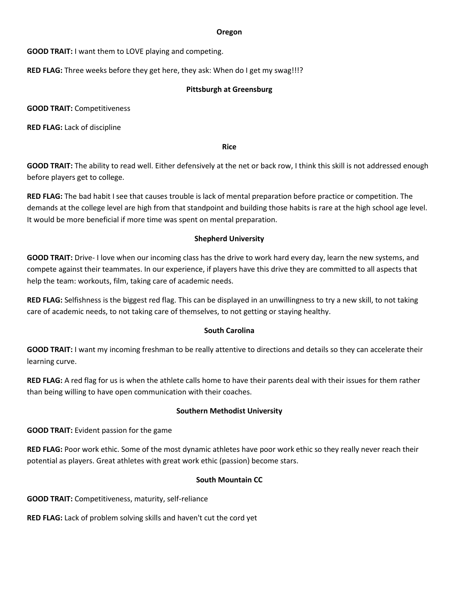#### **Oregon**

**GOOD TRAIT:** I want them to LOVE playing and competing.

**RED FLAG:** Three weeks before they get here, they ask: When do I get my swag!!!?

## **Pittsburgh at Greensburg**

**GOOD TRAIT:** Competitiveness

**RED FLAG:** Lack of discipline

**Rice**

**GOOD TRAIT:** The ability to read well. Either defensively at the net or back row, I think this skill is not addressed enough before players get to college.

**RED FLAG:** The bad habit I see that causes trouble is lack of mental preparation before practice or competition. The demands at the college level are high from that standpoint and building those habits is rare at the high school age level. It would be more beneficial if more time was spent on mental preparation.

# **Shepherd University**

**GOOD TRAIT:** Drive- I love when our incoming class has the drive to work hard every day, learn the new systems, and compete against their teammates. In our experience, if players have this drive they are committed to all aspects that help the team: workouts, film, taking care of academic needs.

**RED FLAG:** Selfishness is the biggest red flag. This can be displayed in an unwillingness to try a new skill, to not taking care of academic needs, to not taking care of themselves, to not getting or staying healthy.

# **South Carolina**

**GOOD TRAIT:** I want my incoming freshman to be really attentive to directions and details so they can accelerate their learning curve.

**RED FLAG:** A red flag for us is when the athlete calls home to have their parents deal with their issues for them rather than being willing to have open communication with their coaches.

### **Southern Methodist University**

**GOOD TRAIT:** Evident passion for the game

**RED FLAG:** Poor work ethic. Some of the most dynamic athletes have poor work ethic so they really never reach their potential as players. Great athletes with great work ethic (passion) become stars.

# **South Mountain CC**

**GOOD TRAIT:** Competitiveness, maturity, self-reliance

**RED FLAG:** Lack of problem solving skills and haven't cut the cord yet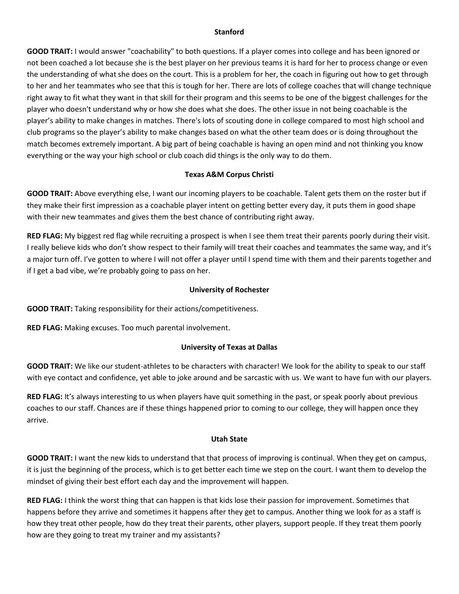#### **Stanford**

**GOOD TRAIT:** I would answer "coachability" to both questions. If a player comes into college and has been ignored or not been coached a lot because she is the best player on her previous teams it is hard for her to process change or even the understanding of what she does on the court. This is a problem for her, the coach in figuring out how to get through to her and her teammates who see that this is tough for her. There are lots of college coaches that will change technique right away to fit what they want in that skill for their program and this seems to be one of the biggest challenges for the player who doesn't understand why or how she does what she does. The other issue in not being coachable is the player's ability to make changes in matches. There's lots of scouting done in college compared to most high school and club programs so the player's ability to make changes based on what the other team does or is doing throughout the match becomes extremely important. A big part of being coachable is having an open mind and not thinking you know everything or the way your high school or club coach did things is the only way to do them.

# **Texas A&M Corpus Christi**

**GOOD TRAIT:** Above everything else, I want our incoming players to be coachable. Talent gets them on the roster but if they make their first impression as a coachable player intent on getting better every day, it puts them in good shape with their new teammates and gives them the best chance of contributing right away.

**RED FLAG:** My biggest red flag while recruiting a prospect is when I see them treat their parents poorly during their visit. I really believe kids who don't show respect to their family will treat their coaches and teammates the same way, and it's a major turn off. I've gotten to where I will not offer a player until I spend time with them and their parents together and if I get a bad vibe, we're probably going to pass on her.

### **University of Rochester**

**GOOD TRAIT:** Taking responsibility for their actions/competitiveness.

**RED FLAG:** Making excuses. Too much parental involvement.

### **University of Texas at Dallas**

**GOOD TRAIT:** We like our student-athletes to be characters with character! We look for the ability to speak to our staff with eye contact and confidence, yet able to joke around and be sarcastic with us. We want to have fun with our players.

**RED FLAG:** It's always interesting to us when players have quit something in the past, or speak poorly about previous coaches to our staff. Chances are if these things happened prior to coming to our college, they will happen once they arrive.

### **Utah State**

**GOOD TRAIT:** I want the new kids to understand that that process of improving is continual. When they get on campus, it is just the beginning of the process, which is to get better each time we step on the court. I want them to develop the mindset of giving their best effort each day and the improvement will happen.

**RED FLAG:** I think the worst thing that can happen is that kids lose their passion for improvement. Sometimes that happens before they arrive and sometimes it happens after they get to campus. Another thing we look for as a staff is how they treat other people, how do they treat their parents, other players, support people. If they treat them poorly how are they going to treat my trainer and my assistants?